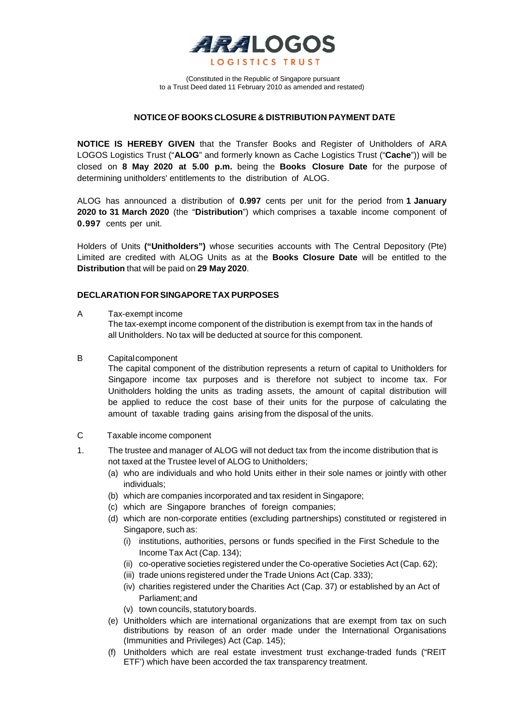

(Constituted in the Republic of Singapore pursuant to a Trust Deed dated 11 February 2010 as amended and restated)

# **NOTICE OF BOOKS CLOSURE & DISTRIBUTION PAYMENT DATE**

**NOTICE IS HEREBY GIVEN** that the Transfer Books and Register of Unitholders of ARA LOGOS Logistics Trust ("**ALOG**" and formerly known as Cache Logistics Trust ("**Cache**")) will be closed on **8 May 2020 at 5.00 p.m.** being the **Books Closure Date** for the purpose of determining unitholders' entitlements to the distribution of ALOG.

ALOG has announced a distribution of **0.997** cents per unit for the period from **1 January 2020 to 31 March 2020** (the "**Distribution**") which comprises a taxable income component of **0.997** cents per unit.

Holders of Units **("Unitholders")** whose securities accounts with The Central Depository (Pte) Limited are credited with ALOG Units as at the **Books Closure Date** will be entitled to the **Distribution** that will be paid on **29 May 2020**.

#### **DECLARATION FOR SINGAPORETAX PURPOSES**

A Tax-exempt income

The tax-exempt income component of the distribution is exempt from tax in the hands of all Unitholders. No tax will be deducted at source for this component.

B Capitalcomponent

The capital component of the distribution represents a return of capital to Unitholders for Singapore income tax purposes and is therefore not subject to income tax. For Unitholders holding the units as trading assets, the amount of capital distribution will be applied to reduce the cost base of their units for the purpose of calculating the amount of taxable trading gains arising from the disposal of the units.

- C Taxable income component
- 1. The trustee and manager of ALOG will not deduct tax from the income distribution that is not taxed at the Trustee level of ALOG to Unitholders;
	- (a) who are individuals and who hold Units either in their sole names or jointly with other individuals;
	- (b) which are companies incorporated and tax resident in Singapore;
	- (c) which are Singapore branches of foreign companies;
	- (d) which are non-corporate entities (excluding partnerships) constituted or registered in Singapore, such as:
		- (i) institutions, authorities, persons or funds specified in the First Schedule to the Income Tax Act (Cap. 134);
		- (ii) co-operative societies registered under the Co-operative Societies Act (Cap. 62);
		- (iii) trade unions registered under the Trade Unions Act (Cap. 333);
		- (iv) charities registered under the Charities Act (Cap. 37) or established by an Act of Parliament;and
		- (v) town councils, statutory boards.
	- (e) Unitholders which are international organizations that are exempt from tax on such distributions by reason of an order made under the International Organisations (Immunities and Privileges) Act (Cap. 145);
	- (f) Unitholders which are real estate investment trust exchange-traded funds ("REIT ETF') which have been accorded the tax transparency treatment.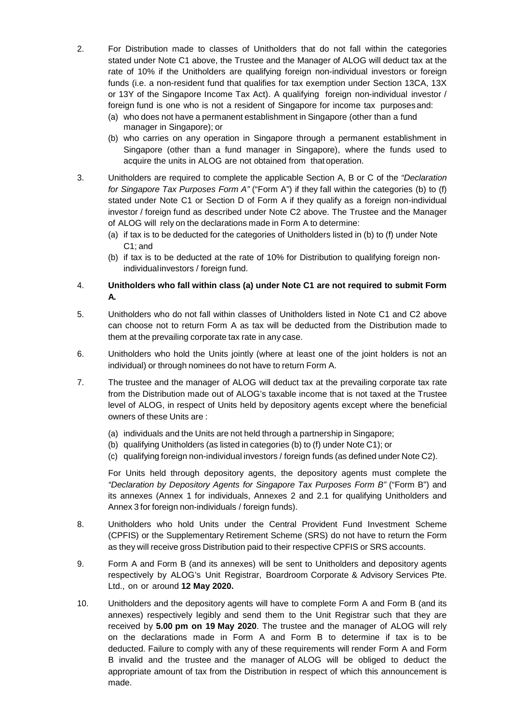- 2. For Distribution made to classes of Unitholders that do not fall within the categories stated under Note C1 above, the Trustee and the Manager of ALOG will deduct tax at the rate of 10% if the Unitholders are qualifying foreign non-individual investors or foreign funds (i.e. a non-resident fund that qualifies for tax exemption under Section 13CA, 13X or 13Y of the Singapore Income Tax Act). A qualifying foreign non-individual investor / foreign fund is one who is not a resident of Singapore for income tax purposes and:
	- (a) who does not have a permanent establishment in Singapore (other than a fund manager in Singapore); or
	- (b) who carries on any operation in Singapore through a permanent establishment in Singapore (other than a fund manager in Singapore), where the funds used to acquire the units in ALOG are not obtained from that operation.
- 3. Unitholders are required to complete the applicable Section A, B or C of the *"Declaration for Singapore Tax Purposes Form A"* ("Form A") if they fall within the categories (b) to (f) stated under Note C1 or Section D of Form A if they qualify as a foreign non-individual investor / foreign fund as described under Note C2 above. The Trustee and the Manager of ALOG will rely on the declarations made in Form A to determine:
	- (a) if tax is to be deducted for the categories of Unitholders listed in (b) to (f) under Note C1; and
	- (b) if tax is to be deducted at the rate of 10% for Distribution to qualifying foreign nonindividualinvestors / foreign fund.
- 4. **Unitholders who fall within class (a) under Note C1 are not required to submit Form A.**
- 5. Unitholders who do not fall within classes of Unitholders listed in Note C1 and C2 above can choose not to return Form A as tax will be deducted from the Distribution made to them at the prevailing corporate tax rate in any case.
- 6. Unitholders who hold the Units jointly (where at least one of the joint holders is not an individual) or through nominees do not have to return Form A.
- 7. The trustee and the manager of ALOG will deduct tax at the prevailing corporate tax rate from the Distribution made out of ALOG's taxable income that is not taxed at the Trustee level of ALOG, in respect of Units held by depository agents except where the beneficial owners of these Units are :
	- (a) individuals and the Units are not held through a partnership in Singapore;
	- (b) qualifying Unitholders (as listed in categories (b) to (f) under Note C1); or
	- (c) qualifying foreign non-individual investors / foreign funds (as defined under Note C2).

For Units held through depository agents, the depository agents must complete the *"Declaration by Depository Agents for Singapore Tax Purposes Form B"* ("Form B") and its annexes (Annex 1 for individuals, Annexes 2 and 2.1 for qualifying Unitholders and Annex 3 for foreign non-individuals / foreign funds).

- 8. Unitholders who hold Units under the Central Provident Fund Investment Scheme (CPFIS) or the Supplementary Retirement Scheme (SRS) do not have to return the Form as they will receive gross Distribution paid to their respective CPFIS or SRS accounts.
- 9. Form A and Form B (and its annexes) will be sent to Unitholders and depository agents respectively by ALOG's Unit Registrar, Boardroom Corporate & Advisory Services Pte. Ltd., on or around **12 May 2020.**
- 10. Unitholders and the depository agents will have to complete Form A and Form B (and its annexes) respectively legibly and send them to the Unit Registrar such that they are received by **5.00 pm on 19 May 2020**. The trustee and the manager of ALOG will rely on the declarations made in Form A and Form B to determine if tax is to be deducted. Failure to comply with any of these requirements will render Form A and Form B invalid and the trustee and the manager of ALOG will be obliged to deduct the appropriate amount of tax from the Distribution in respect of which this announcement is made.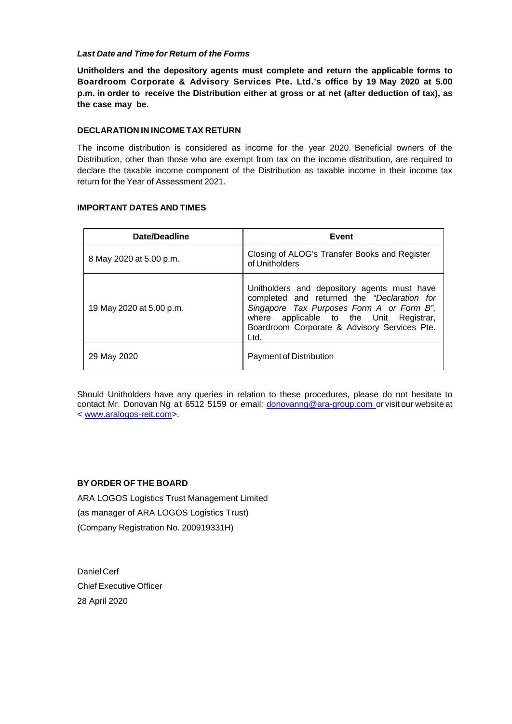# *Last Date and Time for Return of the Forms*

**Unitholders and the depository agents must complete and return the applicable forms to Boardroom Corporate & Advisory Services Pte. Ltd.'s office by 19 May 2020 at 5.00 p.m. in order to receive the Distribution either at gross or at net (after deduction of tax), as the case may be.**

## **DECLARATION IN INCOMETAX RETURN**

The income distribution is considered as income for the year 2020. Beneficial owners of the Distribution, other than those who are exempt from tax on the income distribution, are required to declare the taxable income component of the Distribution as taxable income in their income tax return for the Year of Assessment 2021.

# **IMPORTANT DATES AND TIMES**

| Date/Deadline            | Event                                                                                                                                                                                                                                      |
|--------------------------|--------------------------------------------------------------------------------------------------------------------------------------------------------------------------------------------------------------------------------------------|
| 8 May 2020 at 5.00 p.m.  | Closing of ALOG's Transfer Books and Register<br>of Unitholders                                                                                                                                                                            |
| 19 May 2020 at 5.00 p.m. | Unitholders and depository agents must have<br>completed and returned the "Declaration for<br>Singapore Tax Purposes Form A or Form B",<br>where applicable to the Unit Registrar,<br>Boardroom Corporate & Advisory Services Pte.<br>Ltd. |
| 29 May 2020              | Payment of Distribution                                                                                                                                                                                                                    |

Should Unitholders have any queries in relation to these procedures, please do not hesitate to contact Mr. Donovan Ng at 6512 5159 or email: [donovanng@ara-group.com](mailto:donovanng@ara-group.com) or visit our website at < [www.aralogos-reit.com>](https://apc01.safelinks.protection.outlook.com/?url=http%3A%2F%2Fwww.aralogos-reit.com%2F&data=02%7C01%7Cwendypek%40ara-group.com%7Ccd94835777f94c1e87b708d7e8127675%7C42b2d0798dec45be8fd38f22c83bc8fa%7C0%7C0%7C637233038295366598&sdata=JxvVSZpYkAi3tyYXAys%2Fk2bxSmBMY3hwEORrDfrwWX4%3D&reserved=0).

# **BY ORDER OF THE BOARD**

ARA LOGOS Logistics Trust Management Limited (as manager of ARA LOGOS Logistics Trust) (Company Registration No. 200919331H)

Daniel Cerf Chief Executive Officer 28 April 2020